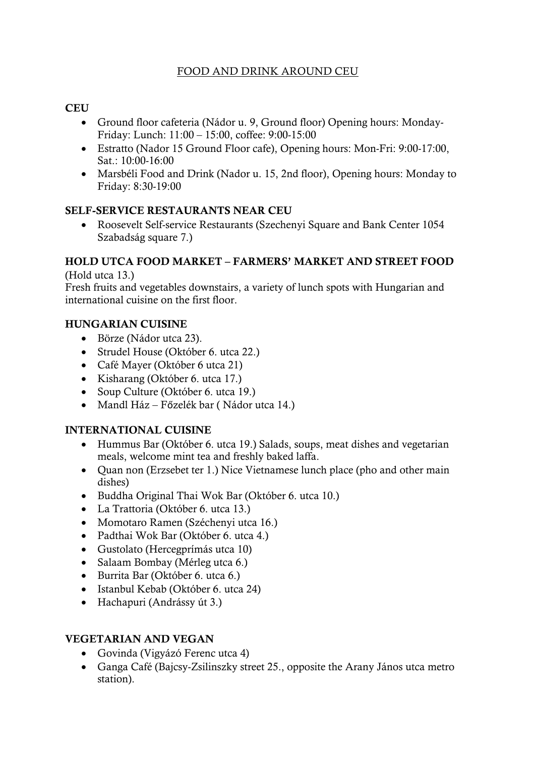## FOOD AND DRINK AROUND CEU

### **CEU**

- Ground floor cafeteria (Nádor u. 9, Ground floor) Opening hours: Monday-Friday: Lunch: 11:00 – 15:00, coffee: 9:00-15:00
- Estratto (Nador 15 Ground Floor cafe), Opening hours: Mon-Fri: 9:00-17:00, Sat.: 10:00-16:00
- Marsbéli Food and Drink (Nador u. 15, 2nd floor), Opening hours: Monday to Friday: 8:30-19:00

#### SELF-SERVICE RESTAURANTS NEAR CEU

• Roosevelt Self-service Restaurants (Szechenyi Square and Bank Center 1054 Szabadság square 7.)

# HOLD UTCA FOOD MARKET – FARMERS' MARKET AND STREET FOOD

(Hold utca 13.)

Fresh fruits and vegetables downstairs, a variety of lunch spots with Hungarian and international cuisine on the first floor.

#### HUNGARIAN CUISINE

- Börze (Nádor utca 23).
- Strudel House (Október 6. utca 22.)
- Café Mayer (Október 6 utca 21)
- Kisharang (Október 6. utca 17.)
- Soup Culture (Október 6. utca 19.)
- Mandl Ház Főzelék bar (Nádor utca 14.)

#### INTERNATIONAL CUISINE

- Hummus Bar (Október 6. utca 19.) Salads, soups, meat dishes and vegetarian meals, welcome mint tea and freshly baked laffa.
- Quan non (Erzsebet ter 1.) Nice Vietnamese lunch place (pho and other main dishes)
- Buddha Original Thai Wok Bar (Október 6. utca 10.)
- La Trattoria (Október 6. utca 13.)
- Momotaro Ramen (Széchenyi utca 16.)
- Padthai Wok Bar (Október 6. utca 4.)
- Gustolato (Hercegprímás utca 10)
- Salaam Bombay (Mérleg utca 6.)
- Burrita Bar (Október 6. utca 6.)
- Istanbul Kebab (Október 6. utca 24)
- Hachapuri (Andrássy út 3.)

### VEGETARIAN AND VEGAN

- Govinda (Vigyázó Ferenc utca 4)
- Ganga Café (Bajcsy-Zsilinszky street 25., opposite the Arany János utca metro station).